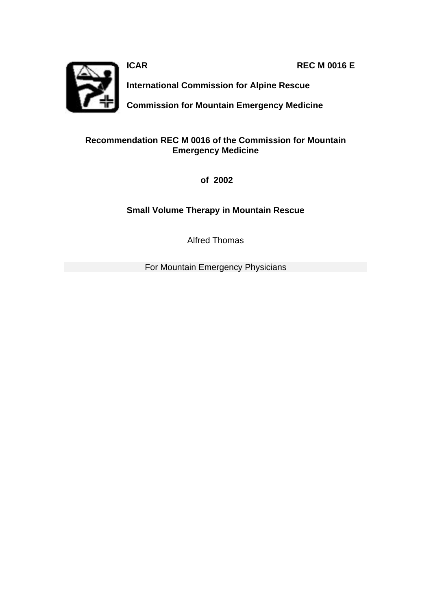**ICAR REC M 0016 E**



**International Commission for Alpine Rescue**

**Commission for Mountain Emergency Medicine**

## **Recommendation REC M 0016 of the Commission for Mountain Emergency Medicine**

 **of 2002**

**Small Volume Therapy in Mountain Rescue**

Alfred Thomas

For Mountain Emergency Physicians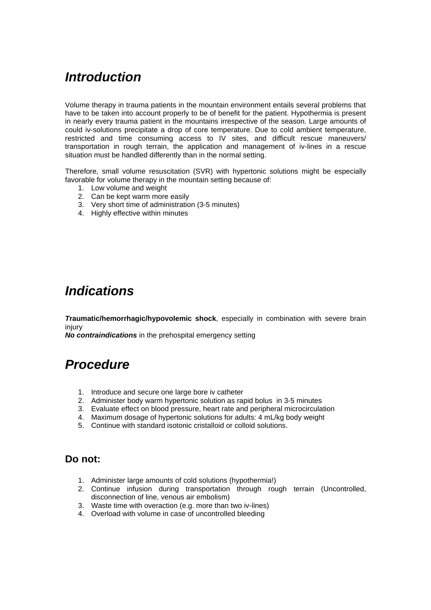# *Introduction*

Volume therapy in trauma patients in the mountain environment entails several problems that have to be taken into account properly to be of benefit for the patient. Hypothermia is present in nearly every trauma patient in the mountains irrespective of the season. Large amounts of could iv-solutions precipitate a drop of core temperature. Due to cold ambient temperature, restricted and time consuming access to IV sites, and difficult rescue maneuvers/ transportation in rough terrain, the application and management of iv-lines in a rescue situation must be handled differently than in the normal setting.

Therefore, small volume resuscitation (SVR) with hypertonic solutions might be especially favorable for volume therapy in the mountain setting because of:

- 1. Low volume and weight
- 2. Can be kept warm more easily
- 3. Very short time of administration (3-5 minutes)
- 4. Highly effective within minutes

# *Indications*

*T***raumatic/hemorrhagic/hypovolemic shock**, especially in combination with severe brain injury

*No contraindications* in the prehospital emergency setting

## *Procedure*

- 1. Introduce and secure one large bore iv catheter
- 2. Administer body warm hypertonic solution as rapid bolus in 3-5 minutes
- 3. Evaluate effect on blood pressure, heart rate and peripheral microcirculation
- 4. Maximum dosage of hypertonic solutions for adults: 4 mL/kg body weight
- 5. Continue with standard isotonic cristalloid or colloid solutions.

### **Do not:**

- 1. Administer large amounts of cold solutions (hypothermia!)
- 2. Continue infusion during transportation through rough terrain (Uncontrolled, disconnection of line, venous air embolism)
- 3. Waste time with overaction (e.g. more than two iv-lines)
- 4. Overload with volume in case of uncontrolled bleeding